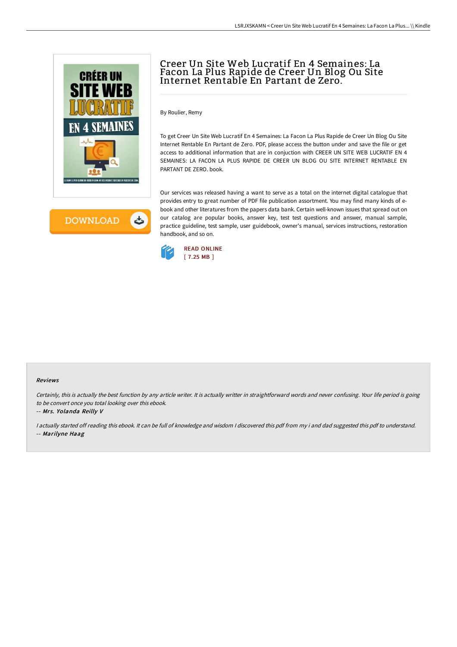

**DOWNLOAD** ٹ

# Creer Un Site Web Lucratif En 4 Semaines: La Facon La Plus Rapide de Creer Un Blog Ou Site Internet Rentable En Partant de Zero.

By Roulier, Remy

To get Creer Un Site Web Lucratif En 4 Semaines: La Facon La Plus Rapide de Creer Un Blog Ou Site Internet Rentable En Partant de Zero. PDF, please access the button under and save the file or get access to additional information that are in conjuction with CREER UN SITE WEB LUCRATIF EN 4 SEMAINES: LA FACON LA PLUS RAPIDE DE CREER UN BLOG OU SITE INTERNET RENTABLE EN PARTANT DE ZERO. book.

Our services was released having a want to serve as a total on the internet digital catalogue that provides entry to great number of PDF file publication assortment. You may find many kinds of ebook and other literatures from the papers data bank. Certain well-known issues that spread out on our catalog are popular books, answer key, test test questions and answer, manual sample, practice guideline, test sample, user guidebook, owner's manual, services instructions, restoration handbook, and so on.



#### Reviews

Certainly, this is actually the best function by any article writer. It is actually writter in straightforward words and never confusing. Your life period is going to be convert once you total looking over this ebook.

-- Mrs. Yolanda Reilly V

I actually started off reading this ebook. It can be full of knowledge and wisdom I discovered this pdf from my i and dad suggested this pdf to understand. -- Marilyne Haag